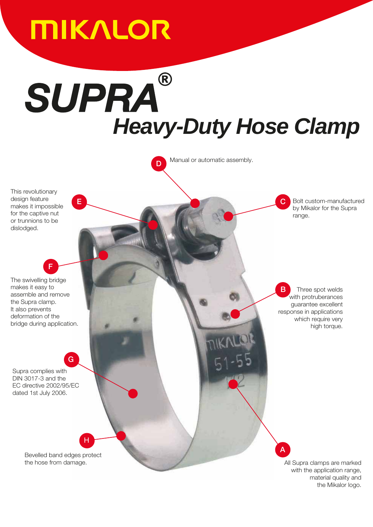

# *Heavy-Duty Hose Clamp SUPRA*

Manual or automatic assembly.

n.

E COMPUTER COMPUTER COMPUTER COMPUTER COMPUTER COMPUTER COMPUTER COMPUTER COMPUTER COMPUTER COMPUTER COMPUTER

This revolutionary design feature makes it impossible for the captive nut or trunnions to be dislodged.

The swivelling bridge makes it easy to assemble and remove the Supra clamp. It also prevents deformation of the bridge during application.

F

G

Supra complies with DIN 3017-3 and the EC directive 2002/95/EC dated 1st July 2006.

which require very high torque.

range.

Three spot welds with protruberances guarantee excellent response in applications

Bolt custom-manufactured by Mikalor for the Supra

B

Bevelled band edges protect the hose from damage.

H

A

All Supra clamps are marked with the application range, material quality and the Mikalor logo.